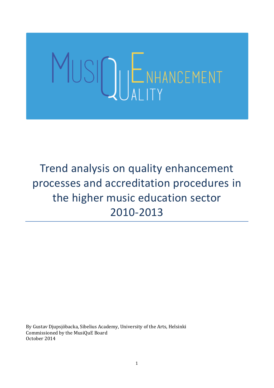# SIQUENHANCEMENT

Trend analysis on quality enhancement processes and accreditation procedures in the higher music education sector 2010-2013

By Gustav Djupsjöbacka, Sibelius Academy, University of the Arts, Helsinki Commissioned by the MusiQuE Board October 2014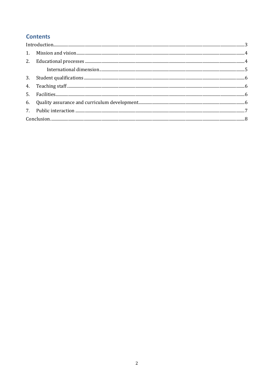# **Contents**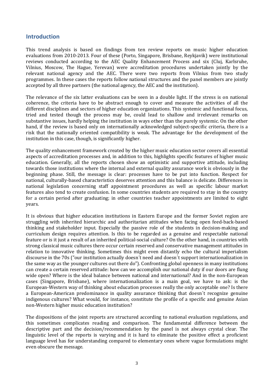### <span id="page-2-0"></span>**Introduction**

This trend analysis is based on findings from ten review reports on music higher education evaluations from 2010-2013. Four of these (Porto, Singapore, Brisbane, Reykjavik) were institutional reviews conducted according to the AEC Quality Enhancement Process and six (Cluj, Karlsruhe, Vilnius, Moscow, The Hague, Yerevan) were accreditation procedures undertaken jointly by the relevant national agency and the AEC. There were two reports from Vilnius from two study programmes. In these cases the reports follow national structures and the panel members are jointly accepted by all three partners (the national agency, the AEC and the institution).

The relevance of the six latter evaluations can be seen in a double light. If the stress is on national coherence, the criteria have to be abstract enough to cover and measure the activities of all the different disciplines and sectors of higher education organizations. This systemic and functional focus, tried and tested though the process may be, could lead to shallow and irrelevant remarks on substantive issues, hardly helping the institution in ways other than the purely systemic. On the other hand, if the review is based only on internationally acknowledged subject-specific criteria, there is a risk that the nationally oriented compatibility is weak. The advantage for the development of the institution in this case, though, is significantly higher.

The quality enhancement framework created by the higher music education sector covers all essential aspects of accreditation processes and, in addition to this, highlights specific features of higher music education. Generally, all the reports chosen show an optimistic and supportive attitude, including towards those institutions where the internal and external quality assurance work is obviously in the beginning phase. Still, the message is clear: processes have to be put into function. Respect for national, culturally-based characteristics deserves attention and this balance is delicate. Differences in national legislation concerning staff appointment procedures as well as specific labour market features also tend to create confusion. In some countries students are required to stay in the country for a certain period after graduating; in other countries teacher appointments are limited to eight years.

It is obvious that higher education institutions in Eastern Europe and the former Soviet region are struggling with inherited hierarchic and authoritarian attitudes when facing open feed-back-based thinking and stakeholder input. Especially the passive role of the students in decision-making and curriculum design requires attention. Is this to be regarded as a genuine and respectable national feature or is it just a result of an inherited political-social culture? On the other hand, in countries with strong classical music cultures there occur certain reserved and conservative management attitudes in relation to innovative thinking. Sometimes this might even distantly echo the cultural imperialism discourse in the 70s ("our institution actually doesn´t need and doesn´t support internationalization in the same way as the younger cultures out there do"). Confronting global openness in many institutions can create a certain reserved attitude: how can we accomplish our national duty if our doors are flung wide open? Where is the ideal balance between national and international? And in the non-European cases (Singapore, Brisbane), where internationalization is a main goal, we have to ask: is the European-Western way of thinking about education processes really the only acceptable one? Is there a European-American predominance in quality assurance thinking that doesn´t recognize genuine indigenous cultures? What would, for instance, constitute the profile of a specific and genuine Asian non-Western higher music education institution?

The dispositions of the joint reports are structured according to national evaluation regulations, and this sometimes complicates reading and comparison. The fundamental difference between the descriptive part and the decision/recommendation by the panel is not always crystal clear. The linguistic level of the reports is varying and it is hard to eliminate the positive effect a proficient language level has for understanding compared to elementary ones where vague formulations might even obscure the message.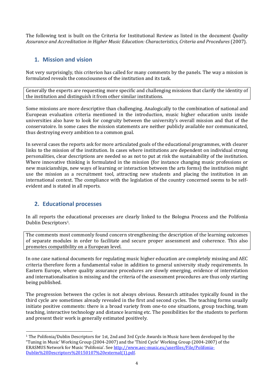<span id="page-3-0"></span>The following text is built on the Criteria for Institutional Review as listed in the document *Quality Assurance and Accreditation in Higher Music Education: Characteristics, Criteria and Procedures* (2007).

# **1. Mission and vision**

Not very surprisingly, this criterion has called for many comments by the panels. The way a mission is formulated reveals the consciousness of the institution and its task.

Generally the experts are requesting more specific and challenging missions that clarify the identity of the institution and distinguish it from other similar institutions.

Some missions are more descriptive than challenging. Analogically to the combination of national and European evaluation criteria mentioned in the introduction, music higher education units inside universities also have to look for congruity between the university's overall mission and that of the conservatoire. In some cases the mission statements are neither publicly available nor communicated, thus destroying every ambition to a common goal.

In several cases the reports ask for more articulated goals of the educational programmes, with clearer links to the mission of the institution. In cases where institutions are dependent on individual strong personalities, clear descriptions are needed so as not to put at risk the sustainability of the institution. Where innovative thinking is formulated in the mission (for instance changing music professions or new musicianships, new ways of learning or interaction between the arts forms) the institution might use the mission as a recruitment tool, attracting new students and placing the institution in an international context. The compliance with the legislation of the country concerned seems to be selfevident and is stated in all reports.

## <span id="page-3-1"></span>**2. Educational processes**

 $\overline{a}$ 

In all reports the educational processes are clearly linked to the Bologna Process and the Polifonia Dublin Descriptors 1.

The comments most commonly found concern strengthening the description of the learning outcomes of separate modules in order to facilitate and secure proper assessment and coherence. This also promotes compatibility on a European level.

In one case national documents for regulating music higher education are completely missing and AEC criteria therefore form a fundamental value in addition to general university study requirements. In Eastern Europe, where quality assurance procedures are slowly emerging, evidence of interrelation and internationalisation is missing and the criteria of the assessment procedures are thus only starting being published.

The progression between the cycles is not always obvious. Research attitudes typically found in the third cycle are sometimes already revealed in the first and second cycles. The teaching forms usually initiate positive comments: there is a broad variety from one-to one situations, group teaching, team teaching, interactive technology and distance learning etc. The possibilities for the students to perform and present their work is generally estimated positively.

<sup>1</sup> The Polifonia/Dublin Descriptors for 1st, 2nd and 3rd Cycle Awards in Music have been developed by the "Tuning in Music' Working Group (2004-2007) and the 'Third Cycle' Working Group (2004-2007) of the ERASMUS Network for Music 'Polifonia'. See [http://www.aec-music.eu/userfiles/File/Polifonia-](http://www.aec-music.eu/userfiles/File/Polifonia-Dublin%20Descriptors%20150107%20external(1).pdf)[Dublin%20Descriptors%20150107%20external\(1\).pdf.](http://www.aec-music.eu/userfiles/File/Polifonia-Dublin%20Descriptors%20150107%20external(1).pdf)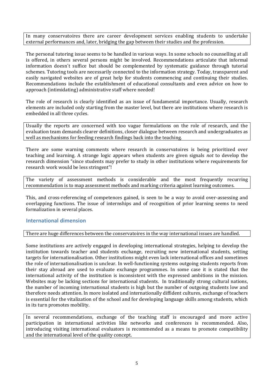In many conservatoires there are career development services enabling students to undertake external performances and, later, bridging the gap between their studies and the profession.

The personal tutoring issue seems to be handled in various ways. In some schools no counselling at all is offered, in others several persons might be involved. Recommendations articulate that informal information doesn´t suffice but should be complemented by systematic guidance through tutorial schemes. Tutoring tools are necessarily connected to the information strategy. Today, transparent and easily navigated websites are of great help for students commencing and continuing their studies. Recommendations include the establishment of educational consultants and even advice on how to approach (intimidating) administrative staff where needed!

The role of research is clearly identified as an issue of fundamental importance. Usually, research elements are included only starting from the master level, but there are institutions where research is embedded in all three cycles.

Usually the reports are concerned with too vague formulations on the role of research, and the evaluation team demands clearer definitions, closer dialogue between research and undergraduates as well as mechanisms for feeding research findings back into the teaching.

There are some warning comments where research in conservatoires is being prioritized over teaching and learning. A strange logic appears when students are given signals *not* to develop the research dimension "since students may prefer to study in other institutions where requirements for research work would be less stringent"!

The variety of assessment methods is considerable and the most frequently recurring recommendation is to map assessment methods and marking criteria against learning outcomes.

This, and cross-referencing of competences gained, is seen to be a way to avoid over-assessing and overlapping functions. The issue of internships and of recognition of prior learning seems to need formalization in several places.

#### <span id="page-4-0"></span>**International dimension**

#### There are huge differences between the conservatoires in the way international issues are handled.

Some institutions are actively engaged in developing international strategies, helping to develop the institution towards teacher and students exchange, recruiting new international students, setting targets for internationalisation. Other institutions might even lack international offices and sometimes the role of internationalisation is unclear. In well-functioning systems outgoing students reports from their stay abroad are used to evaluate exchange programmes. In some case it is stated that the international activity of the institution is inconsistent with the expressed ambitions in the mission. Websites may be lacking sections for international students. In traditionally strong cultural nations, the number of incoming international students is high but the number of outgoing students low and therefore needs attention. In more isolated and internationally diffident cultures, exchange of teachers is essential for the vitalization of the school and for developing language skills among students, which in its turn promotes mobility.

In several recommendations, exchange of the teaching staff is encouraged and more active participation in international activities like networks and conferences is recommended. Also, introducing visiting international evaluators is recommended as a means to promote compatibility and the international level of the quality concept.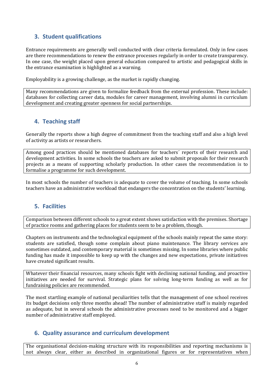# <span id="page-5-0"></span>**3. Student qualifications**

Entrance requirements are generally well conducted with clear criteria formulated. Only in few cases are there recommendations to renew the entrance processes regularly in order to create transparency. In one case, the weight placed upon general education compared to artistic and pedagogical skills in the entrance examination is highlighted as a warning.

Employability is a growing challenge, as the market is rapidly changing.

Many recommendations are given to formalize feedback from the external profession. These include: databases for collecting career data, modules for career management, involving alumni in curriculum development and creating greater openness for social partnerships.

# <span id="page-5-1"></span>**4. Teaching staff**

Generally the reports show a high degree of commitment from the teaching staff and also a high level of activity as artists or researchers.

Among good practices should be mentioned databases for teachers´ reports of their research and development activities. In some schools the teachers are asked to submit proposals for their research projects as a means of supporting scholarly production. In other cases the recommendation is to formalise a programme for such development.

<span id="page-5-2"></span>In most schools the number of teachers is adequate to cover the volume of teaching. In some schools teachers have an administrative workload that endangers the concentration on the students' learning.

## **5. Facilities**

Comparison between different schools to a great extent shows satisfaction with the premises. Shortage of practice rooms and gathering places for students seem to be a problem, though.

Chapters on instruments and the technological equipment of the schools mainly repeat the same story: students are satisfied, though some complain about piano maintenance. The library services are sometimes outdated, and contemporary material is sometimes missing. In some libraries where public funding has made it impossible to keep up with the changes and new expectations, private initiatives have created significant results.

Whatever their financial resources, many schools fight with declining national funding, and proactive initiatives are needed for survival. Strategic plans for solving long-term funding as well as for fundraising policies are recommended.

The most startling example of national peculiarities tells that the management of one school receives its budget decisions only three months ahead! The number of administrative staff is mainly regarded as adequate, but in several schools the administrative processes need to be monitored and a bigger number of administrative staff employed.

## <span id="page-5-3"></span>**6. Quality assurance and curriculum development**

The organisational decision-making structure with its responsibilities and reporting mechanisms is not always clear, either as described in organizational figures or for representatives when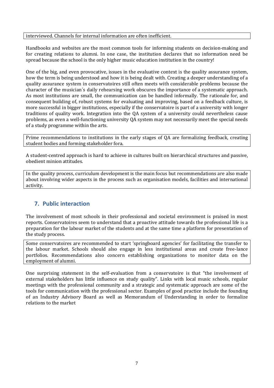#### interviewed. Channels for internal information are often inefficient.

Handbooks and websites are the most common tools for informing students on decision-making and for creating relations to alumni. In one case, the institution declares that no information need be spread because the school is the only higher music education institution in the country!

One of the big, and even provocative, issues in the evaluative context is the quality assurance system, how the term is being understood and how it is being dealt with. Creating a deeper understanding of a quality assurance system in conservatoires still often meets with considerable problems because the character of the musician´s daily rehearsing work obscures the importance of a systematic approach. As most institutions are small, the communication can be handled informally. The rationale for, and consequent building of, robust systems for evaluating and improving, based on a feedback culture, is more successful in bigger institutions, especially if the conservatoire is part of a university with longer traditions of quality work. Integration into the QA system of a university could nevertheless cause problems, as even a well-functioning university QA system may not necessarily meet the special needs of a study programme within the arts.

Prime recommendations to institutions in the early stages of QA are formalizing feedback, creating student bodies and forming stakeholder fora.

A student-centred approach is hard to achieve in cultures built on hierarchical structures and passive, obedient minion attitudes.

In the quality process, curriculum development is the main focus but recommendations are also made about involving wider aspects in the process such as organisation models, facilities and international activity.

## <span id="page-6-0"></span>**7. Public interaction**

The involvement of most schools in their professional and societal environment is praised in most reports. Conservatoires seem to understand that a proactive attitude towards the professional life is a preparation for the labour market of the students and at the same time a platform for presentation of the study process.

Some conservatoires are recommended to start 'springboard agencies' for facilitating the transfer to the labour market. Schools should also engage in less institutional areas and create free-lance portfolios. Recommendations also concern establishing organizations to monitor data on the employment of alumni.

One surprising statement in the self-evaluation from a conservatoire is that "the involvement of external stakeholders has little influence on study quality". Links with local music schools, regular meetings with the professional community and a strategic and systematic approach are some of the tools for communication with the professional sector. Examples of good practice include the founding of an Industry Advisory Board as well as Memorandum of Understanding in order to formalize relations to the market